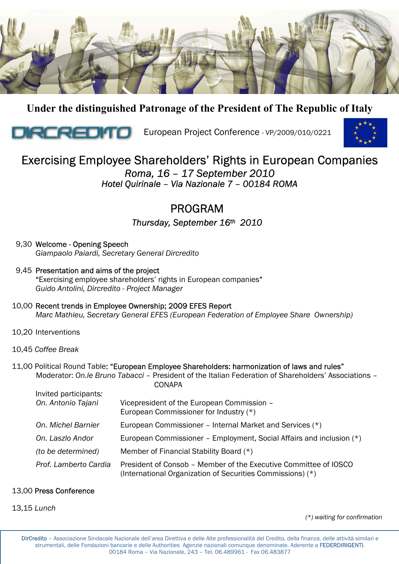

**Under the distinguished Patronage of the President of The Republic of Italy** 



**INCO CONFIDENTIAL European Project Conference - VP/2009/010/0221** 



# Exercising Employee Shareholders' Rights in European Companies *Roma, 16 – 17 September 2010 Hotel Quirinale – Via Nazionale 7 – 00184 ROMA*

# PROGRAM

*Thursday, September 16th 2010* 

- 9,30 Welcome Opening Speech  *Giampaolo Paiardi, Secretary General Dircredito*
- 9,45 Presentation and aims of the project "Exercising employee shareholders' rights in European companies"  *Guido Antolini, Dircredito - Project Manager*
- 10,00 Recent trends in Employee Ownership; 2009 EFES Report  *Marc Mathieu, Secretary General EFES (European Federation of Employee Share Ownership)*
- 10,20 Interventions
- 10,45 *Coffee Break*
- 11,00 Political Round Table: "European Employee Shareholders: harmonization of laws and rules" Moderator: *On.le Bruno Tabacci* – President of the Italian Federation of Shareholders' Associations – **CONAPA**

| Invited participants:<br>On. Antonio Tajani | Vicepresident of the European Commission -<br>European Commissioner for Industry (*)                                           |
|---------------------------------------------|--------------------------------------------------------------------------------------------------------------------------------|
| On, Michel Barnier                          | European Commissioner - Internal Market and Services (*)                                                                       |
| On. Laszlo Andor                            | European Commissioner – Employment, Social Affairs and inclusion (*)                                                           |
| (to be determined)                          | Member of Financial Stability Board (*)                                                                                        |
| Prof. Lamberto Cardia                       | President of Consob – Member of the Executive Committee of IOSCO<br>(International Organization of Securities Commissions) (*) |

#### 13,00 Press Conference

13,15 *Lunch*

*(\*) waiting for confirmation*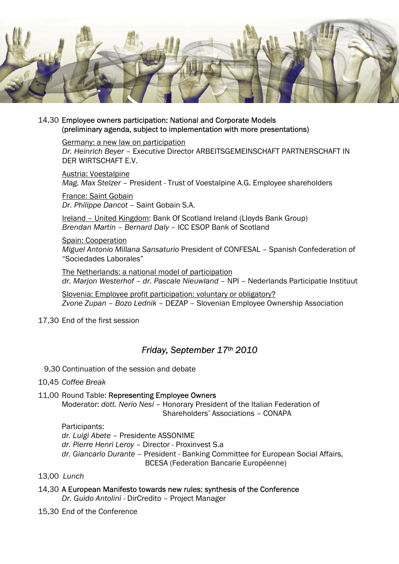

#### 14,30 Employee owners participation: National and Corporate Models (preliminary agenda, subject to implementation with more presentations)

Germany: a new law on participation *Dr. Heinrich Beyer* – Executive Director ARBEITSGEMEINSCHAFT PARTNERSCHAFT IN DER WIRTSCHAFT E.V.

Austria: Voestalpine *Mag. Max Stelzer* – President - Trust of Voestalpine A.G. Employee shareholders

France: Saint Gobain *Dr. Philippe Dancot –* Saint Gobain S.A.

Ireland – United Kingdom: Bank Of Scotland Ireland (Lloyds Bank Group) *Brendan Martin – Bernard Daly* – ICC ESOP Bank of Scotland

Spain: Cooperation

*Miguel Antonio Millana Sansaturio* President of CONFESAL – Spanish Confederation of "Sociedades Laborales"

The Netherlands: a national model of participation *dr. Marjon Westerhof – dr. Pascale Nieuwland* – NPI – Nederlands Participatie Instituut

Slovenia: Employee profit participation: voluntary or obligatory? *Zvone Zupan – Bozo Lednik* – DEZAP – Slovenian Employee Ownership Association

#### 17,30 End of the first session

## *Friday, September 17th 2010*

9,30 Continuation of the session and debate

- 10,45 *Coffee Break*
- 11,00 Round Table: Representing Employee Owners

 Moderator: *dott. Nerio Nesi* – Honorary President of the Italian Federation of Shareholders' Associations – CONAPA

Participants:

*dr. Luigi Abete* – Presidente ASSONIME

*dr. Pierre Henri Leroy* – Director - Proxinvest S.a

*dr. Giancarlo Durante* – President - Banking Committee for European Social Affairs, BCESA (Federation Bancarie Européenne)

- 13,00 *Lunch*
- 14,30 A European Manifesto towards new rules: synthesis of the Conference  *Dr. Guido Antolini* - DirCredito – Project Manager
- 15,30 End of the Conference